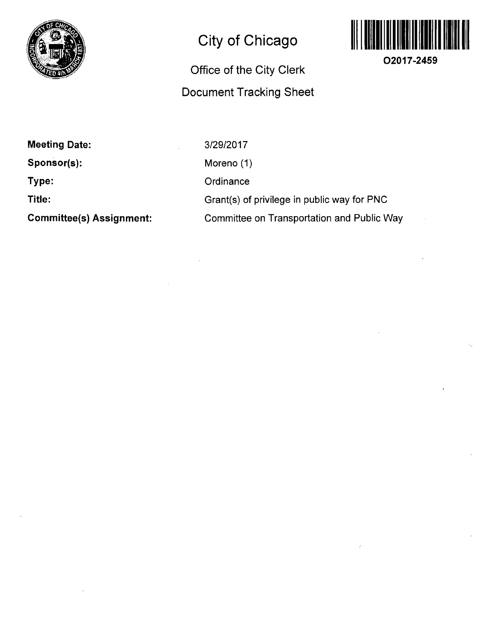

## **City of Chicago**

## **Office of the City Clerk Document Tracking Sheet**



**O2017-2459** 

**Meeting Date: Sponsor(s): Type: Title: Committee(s) Assignment:**  3/29/2017 Moreno (1) **Ordinance** Grant(s) of privilege in public way for PNC Committee on Transportation and Public Way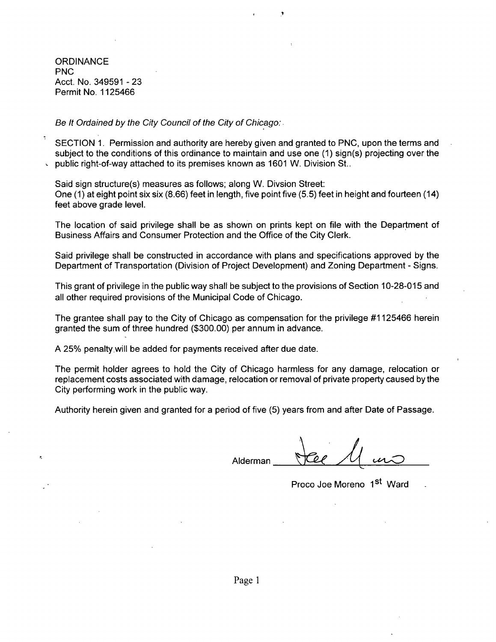**ORDINANCE** PNC Acct. No. 349591 - 23 Permit No. 1125466

Be It Ordained by the City Council of the City of Chicago:

SECTION 1. Permission and authority are hereby given and granted to PNC, upon the terms and subject to the conditions of this ordinance to maintain and use one (1) sign(s) projecting over the public right-of-way attached to its premises known as 1601 W. Division St..

Said sign structure(s) measures as follows; along W. Divsion Street: One (1) at eight point six six (8.66) feet in length, five point five (5.5) feet in height and fourteen (14) feet above grade level.

The location of said privilege shall be as shown on prints kept on file with the Department of Business Affairs and Consumer Protection and the Office of the City Clerk.

Said privilege shall be constructed in accordance with plans and specifications approved by the Department of Transportation (Division of Project Development) and Zoning Department - Signs.

This grant of privilege in the public way shall be subject to the provisions of Section 10-28-015 and all other required provisions of the Municipal Code of Chicago.

The grantee shall pay to the City of Chicago as compensation for the privilege #1125466 herein granted the sum of three hundred (\$300.00) per annum in advance.

A 25% penalty will be added for payments received after due date.

The permit holder agrees to hold the City of Chicago harmless for any damage, relocation or replacement costs associated with damage, relocation or removal of private property caused by the City performing work in the public way.

Authority herein given and granted for a period of five (5) years from and after Date of Passage.

Alderman

Proco Joe Moreno 1st Ward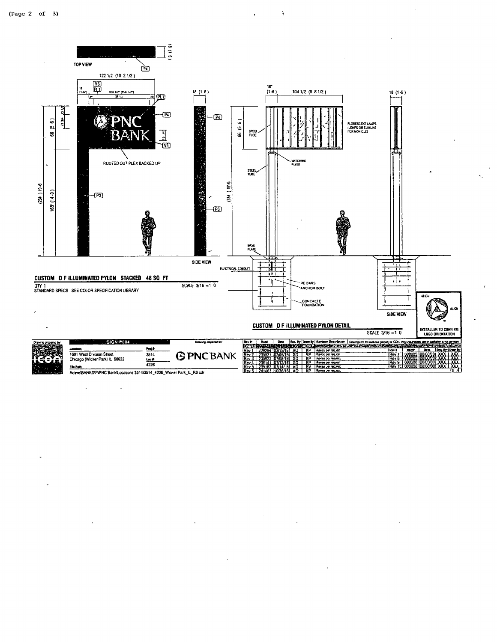

 $\mathbf{\hat{i}}$ 

Active BANKSVP/PNC Bank/Locations 3514\3514\_4226\_Wicker Park\_iL\_R6 cdr